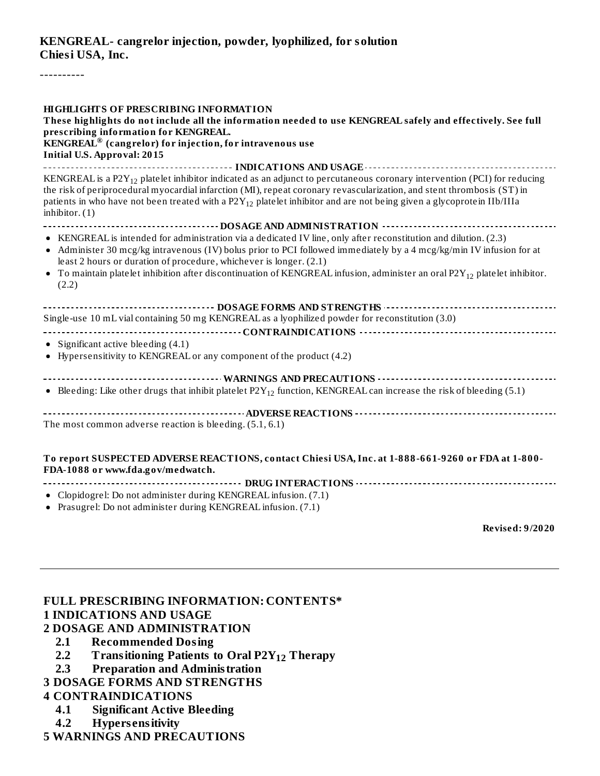#### **KENGREAL- cangrelor injection, powder, lyophilized, for solution Chiesi USA, Inc.**

----------

| <b>HIGHLIGHTS OF PRESCRIBING INFORMATION</b><br>These highlights do not include all the information needed to use KENGREAL safely and effectively. See full<br>prescribing information for KENGREAL.<br>$\overline{\textbf{KENGREAL}}^{\textcircled{\tiny{\textregistered}}}$ (cangrelor) for injection, for intravenous use<br><b>Initial U.S. Approval: 2015</b>                                                                                         |
|------------------------------------------------------------------------------------------------------------------------------------------------------------------------------------------------------------------------------------------------------------------------------------------------------------------------------------------------------------------------------------------------------------------------------------------------------------|
|                                                                                                                                                                                                                                                                                                                                                                                                                                                            |
| KENGREAL is a P2 $Y_{12}$ platelet inhibitor indicated as an adjunct to percutaneous coronary intervention (PCI) for reducing<br>the risk of periprocedural myocardial infarction (MI), repeat coronary revascularization, and stent thrombosis (ST) in<br>patients in who have not been treated with a P2Y <sub>12</sub> platelet inhibitor and are not being given a glycoprotein IIb/IIIa<br>inhibitor. (1)                                             |
|                                                                                                                                                                                                                                                                                                                                                                                                                                                            |
| • KENGREAL is intended for administration via a dedicated IV line, only after reconstitution and dilution. (2.3)<br>• Administer 30 mcg/kg intravenous (IV) bolus prior to PCI followed immediately by a 4 mcg/kg/min IV infusion for at<br>least 2 hours or duration of procedure, whichever is longer. (2.1)<br>• To maintain platelet inhibition after discontinuation of KENGREAL infusion, administer an oral $P2Y_{12}$ platelet inhibitor.<br>(2.2) |
|                                                                                                                                                                                                                                                                                                                                                                                                                                                            |
| Single-use 10 mL vial containing 50 mg KENGREAL as a lyophilized powder for reconstitution (3.0)                                                                                                                                                                                                                                                                                                                                                           |
|                                                                                                                                                                                                                                                                                                                                                                                                                                                            |
| • Significant active bleeding $(4.1)$                                                                                                                                                                                                                                                                                                                                                                                                                      |
| • Hypersensitivity to KENGREAL or any component of the product (4.2)                                                                                                                                                                                                                                                                                                                                                                                       |
| ----------------------------------- WARNINGS AND PRECAUTIONS ------------------------------                                                                                                                                                                                                                                                                                                                                                                |
| • Bleeding: Like other drugs that inhibit platelet $P2Y_{12}$ function, KENGREAL can increase the risk of bleeding (5.1)                                                                                                                                                                                                                                                                                                                                   |
| The most common adverse reaction is bleeding. (5.1, 6.1)                                                                                                                                                                                                                                                                                                                                                                                                   |

#### **To report SUSPECTED ADVERSE REACTIONS, contact Chiesi USA, Inc. at 1-888-661-9260 or FDA at 1-800- FDA-1088 or www.fda.gov/medwatch.**

- **DRUG INTERACTIONS**
- Clopidogrel: Do not administer during KENGREAL infusion. (7.1)
- Prasugrel: Do not administer during KENGREAL infusion. (7.1)

**Revised: 9/2020**

#### **FULL PRESCRIBING INFORMATION: CONTENTS\* 1 INDICATIONS AND USAGE 2 DOSAGE AND ADMINISTRATION**

- **2.1 Recommended Dosing**
- 2.2 Transitioning Patients to Oral P2Y<sub>12</sub> Therapy
- **2.3 Preparation and Administration**
- **3 DOSAGE FORMS AND STRENGTHS**

#### **4 CONTRAINDICATIONS**

- **4.1 Significant Active Bleeding**
- **4.2 Hypers ensitivity**

## **5 WARNINGS AND PRECAUTIONS**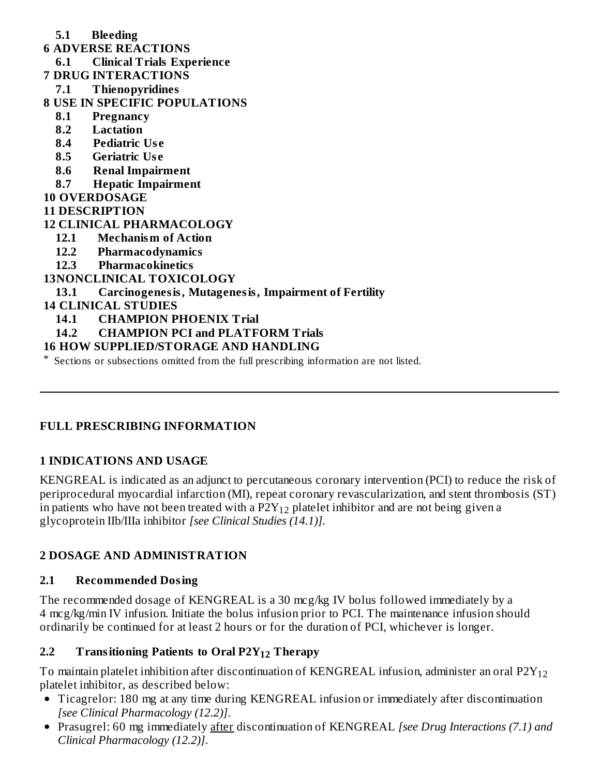- **5.1 Bleeding**
- **6 ADVERSE REACTIONS**
- **6.1 Clinical Trials Experience**
- **7 DRUG INTERACTIONS**
	- **7.1 Thienopyridines**
- **8 USE IN SPECIFIC POPULATIONS**
	- **8.1 Pregnancy**
	- **8.2 Lactation**
	- **8.4 Pediatric Us e**
	- **8.5 Geriatric Us e**
	- **8.6 Renal Impairment**
	- **8.7 Hepatic Impairment**
- **10 OVERDOSAGE**
- **11 DESCRIPTION**

## **12 CLINICAL PHARMACOLOGY**

- **12.1 Mechanism of Action**
- **12.2 Pharmacodynamics**
- **12.3 Pharmacokinetics**

## **13NONCLINICAL TOXICOLOGY**

# **13.1 Carcinogenesis, Mutagenesis, Impairment of Fertility**

#### **14 CLINICAL STUDIES**

- **14.1 CHAMPION PHOENIX Trial**
- **14.2 CHAMPION PCI and PLATFORM Trials**

## **16 HOW SUPPLIED/STORAGE AND HANDLING**

\* Sections or subsections omitted from the full prescribing information are not listed.

## **FULL PRESCRIBING INFORMATION**

## **1 INDICATIONS AND USAGE**

KENGREAL is indicated as an adjunct to percutaneous coronary intervention (PCI) to reduce the risk of periprocedural myocardial infarction (MI), repeat coronary revascularization, and stent thrombosis (ST) in patients who have not been treated with a P2Y $_{12}$  platelet inhibitor and are not being given a glycoprotein IIb/IIIa inhibitor *[see Clinical Studies (14.1)].*

## **2 DOSAGE AND ADMINISTRATION**

## **2.1 Recommended Dosing**

The recommended dosage of KENGREAL is a 30 mcg/kg IV bolus followed immediately by a 4 mcg/kg/min IV infusion. Initiate the bolus infusion prior to PCI. The maintenance infusion should ordinarily be continued for at least 2 hours or for the duration of PCI, whichever is longer.

# **2.2 Transitioning Patients to Oral P2Y Therapy 12**

To maintain platelet inhibition after discontinuation of KENGREAL infusion, administer an oral  $\mathrm{P2Y_{12}}$ platelet inhibitor, as described below:

- Ticagrelor: 180 mg at any time during KENGREAL infusion or immediately after discontinuation *[see Clinical Pharmacology (12.2)]*.
- Prasugrel: 60 mg immediately after discontinuation of KENGREAL *[see Drug Interactions (7.1) and Clinical Pharmacology (12.2)]*.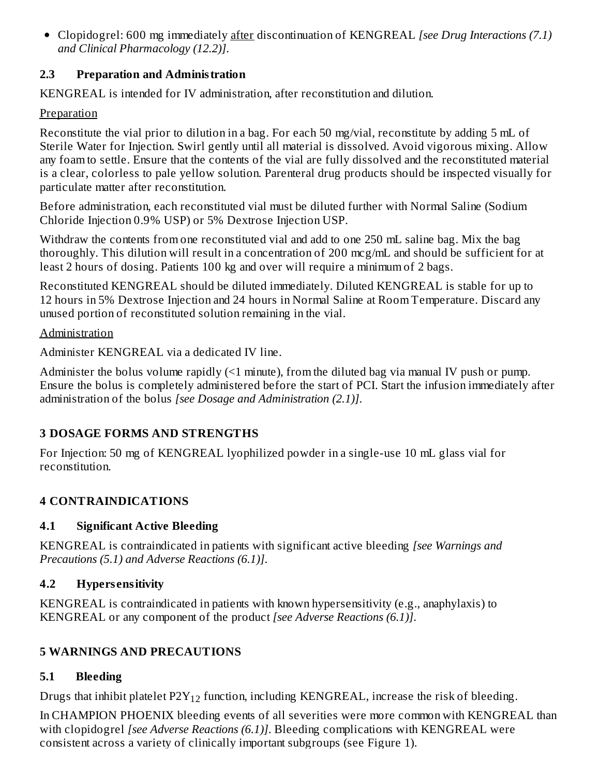Clopidogrel: 600 mg immediately after discontinuation of KENGREAL *[see Drug Interactions (7.1) and Clinical Pharmacology (12.2)]*.

## **2.3 Preparation and Administration**

KENGREAL is intended for IV administration, after reconstitution and dilution.

#### **Preparation**

Reconstitute the vial prior to dilution in a bag. For each 50 mg/vial, reconstitute by adding 5 mL of Sterile Water for Injection. Swirl gently until all material is dissolved. Avoid vigorous mixing. Allow any foam to settle. Ensure that the contents of the vial are fully dissolved and the reconstituted material is a clear, colorless to pale yellow solution. Parenteral drug products should be inspected visually for particulate matter after reconstitution.

Before administration, each reconstituted vial must be diluted further with Normal Saline (Sodium Chloride Injection 0.9% USP) or 5% Dextrose Injection USP.

Withdraw the contents from one reconstituted vial and add to one 250 mL saline bag. Mix the bag thoroughly. This dilution will result in a concentration of 200 mcg/mL and should be sufficient for at least 2 hours of dosing. Patients 100 kg and over will require a minimum of 2 bags.

Reconstituted KENGREAL should be diluted immediately. Diluted KENGREAL is stable for up to 12 hours in 5% Dextrose Injection and 24 hours in Normal Saline at Room Temperature. Discard any unused portion of reconstituted solution remaining in the vial.

#### Administration

Administer KENGREAL via a dedicated IV line.

Administer the bolus volume rapidly  $(1 \text{ minute})$ , from the diluted bag via manual IV push or pump. Ensure the bolus is completely administered before the start of PCI. Start the infusion immediately after administration of the bolus *[see Dosage and Administration (2.1)]*.

# **3 DOSAGE FORMS AND STRENGTHS**

For Injection: 50 mg of KENGREAL lyophilized powder in a single-use 10 mL glass vial for reconstitution.

# **4 CONTRAINDICATIONS**

## **4.1 Significant Active Bleeding**

KENGREAL is contraindicated in patients with significant active bleeding *[see Warnings and Precautions (5.1) and Adverse Reactions (6.1)]*.

# **4.2 Hypers ensitivity**

KENGREAL is contraindicated in patients with known hypersensitivity (e.g., anaphylaxis) to KENGREAL or any component of the product *[see Adverse Reactions (6.1)]*.

# **5 WARNINGS AND PRECAUTIONS**

# **5.1 Bleeding**

Drugs that inhibit platelet  $P2Y_{12}$  function, including KENGREAL, increase the risk of bleeding.

In CHAMPION PHOENIX bleeding events of all severities were more common with KENGREAL than with clopidogrel *[see Adverse Reactions (6.1)]*. Bleeding complications with KENGREAL were consistent across a variety of clinically important subgroups (see Figure 1).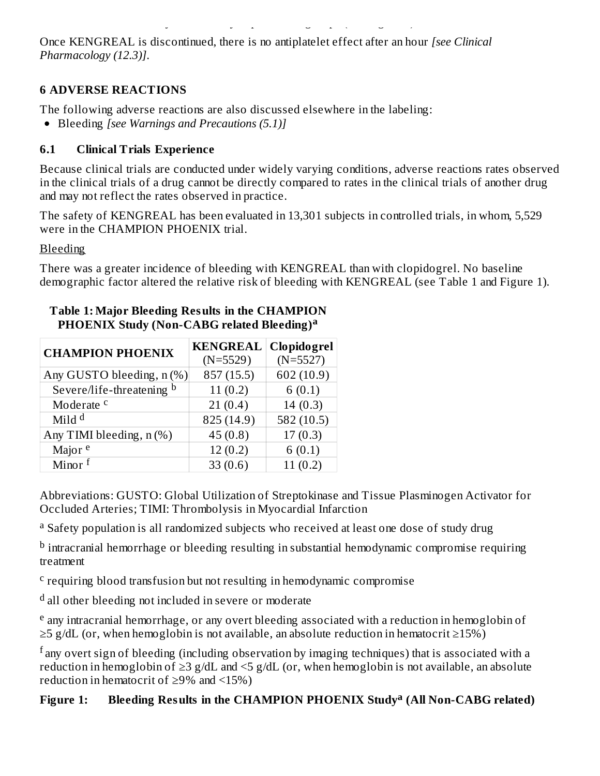Once KENGREAL is discontinued, there is no antiplatelet effect after an hour *[see Clinical Pharmacology (12.3)]*.

#### **6 ADVERSE REACTIONS**

The following adverse reactions are also discussed elsewhere in the labeling:

consistent across a variety of clinically important subgroups (see Figure 1).

Bleeding *[see Warnings and Precautions (5.1)]*

## **6.1 Clinical Trials Experience**

Because clinical trials are conducted under widely varying conditions, adverse reactions rates observed in the clinical trials of a drug cannot be directly compared to rates in the clinical trials of another drug and may not reflect the rates observed in practice.

The safety of KENGREAL has been evaluated in 13,301 subjects in controlled trials, in whom, 5,529 were in the CHAMPION PHOENIX trial.

**Bleeding** 

There was a greater incidence of bleeding with KENGREAL than with clopidogrel. No baseline demographic factor altered the relative risk of bleeding with KENGREAL (see Table 1 and Figure 1).

| <b>CHAMPION PHOENIX</b>    | <b>KENGREAL</b> | Clopidogrel |
|----------------------------|-----------------|-------------|
|                            | $(N=5529)$      | $(N=5527)$  |
| Any GUSTO bleeding, n (%)  | 857 (15.5)      | 602 (10.9)  |
| Severe/life-threatening b  | 11(0.2)         | 6(0.1)      |
| Moderate <sup>c</sup>      | 21(0.4)         | 14(0.3)     |
| Mild $d$                   | 825 (14.9)      | 582 (10.5)  |
| Any TIMI bleeding, $n$ (%) | 45(0.8)         | 17(0.3)     |
| Major <sup>e</sup>         | 12(0.2)         | 6(0.1)      |
| Minor $f$                  | 33(0.6)         | 11(0.2)     |

#### **Table 1: Major Bleeding Results in the CHAMPION PHOENIX Study (Non-CABG related Bleeding) a**

Abbreviations: GUSTO: Global Utilization of Streptokinase and Tissue Plasminogen Activator for Occluded Arteries; TIMI: Thrombolysis in Myocardial Infarction

<sup>a</sup> Safety population is all randomized subjects who received at least one dose of study drug

 $^{\rm b}$  intracranial hemorrhage or bleeding resulting in substantial hemodynamic compromise requiring treatment

<sup>c</sup> requiring blood transfusion but not resulting in hemodynamic compromise

<sup>d</sup> all other bleeding not included in severe or moderate

<sup>e</sup> any intracranial hemorrhage, or any overt bleeding associated with a reduction in hemoglobin of  $\geq$ 5 g/dL (or, when hemoglobin is not available, an absolute reduction in hematocrit  $\geq$ 15%)

 $^{\rm f}$ any overt sign of bleeding (including observation by imaging techniques) that is associated with a reduction in hemoglobin of ≥3 g/dL and <5 g/dL (or, when hemoglobin is not available, an absolute reduction in hematocrit of  $\geq$ 9% and <15%)

# **Figure 1: Bleeding Results in the CHAMPION PHOENIX Study (All Non-CABG related) a**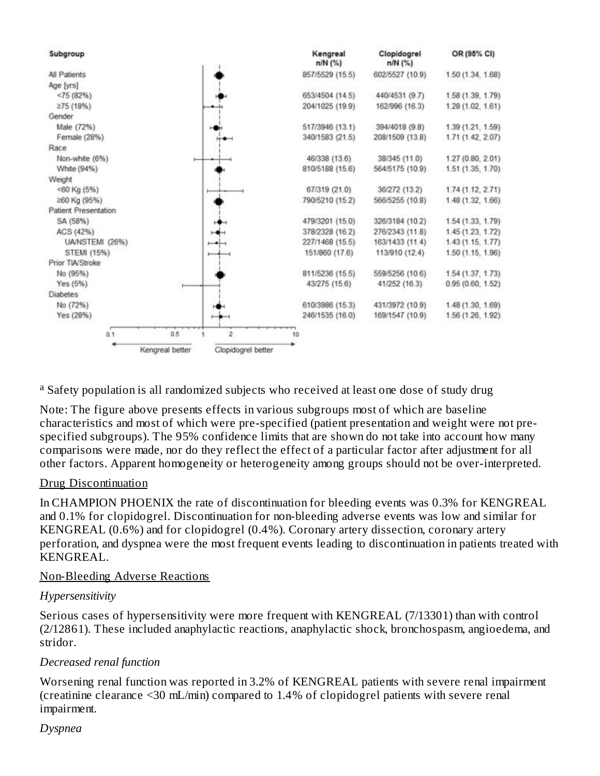

<sup>a</sup> Safety population is all randomized subjects who received at least one dose of study drug

Note: The figure above presents effects in various subgroups most of which are baseline characteristics and most of which were pre-specified (patient presentation and weight were not prespecified subgroups). The 95% confidence limits that are shown do not take into account how many comparisons were made, nor do they reflect the effect of a particular factor after adjustment for all other factors. Apparent homogeneity or heterogeneity among groups should not be over-interpreted.

#### Drug Discontinuation

In CHAMPION PHOENIX the rate of discontinuation for bleeding events was 0.3% for KENGREAL and 0.1% for clopidogrel. Discontinuation for non-bleeding adverse events was low and similar for KENGREAL (0.6%) and for clopidogrel (0.4%). Coronary artery dissection, coronary artery perforation, and dyspnea were the most frequent events leading to discontinuation in patients treated with KENGREAL.

#### Non-Bleeding Adverse Reactions

#### *Hypersensitivity*

Serious cases of hypersensitivity were more frequent with KENGREAL (7/13301) than with control (2/12861). These included anaphylactic reactions, anaphylactic shock, bronchospasm, angioedema, and stridor.

#### *Decreased renal function*

Worsening renal function was reported in 3.2% of KENGREAL patients with severe renal impairment (creatinine clearance <30 mL/min) compared to 1.4% of clopidogrel patients with severe renal impairment.

#### *Dyspnea*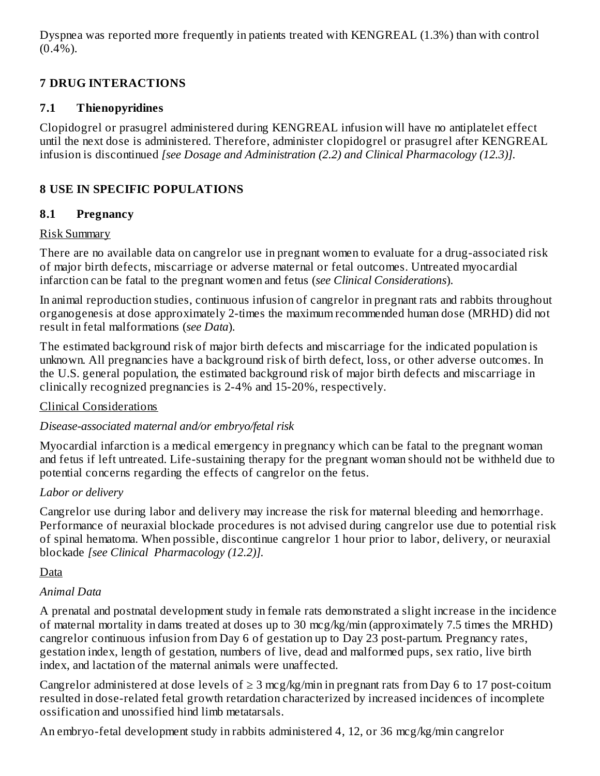Dyspnea was reported more frequently in patients treated with KENGREAL (1.3%) than with control  $(0.4\%)$ .

# **7 DRUG INTERACTIONS**

#### **7.1 Thienopyridines**

Clopidogrel or prasugrel administered during KENGREAL infusion will have no antiplatelet effect until the next dose is administered. Therefore, administer clopidogrel or prasugrel after KENGREAL infusion is discontinued *[see Dosage and Administration (2.2) and Clinical Pharmacology (12.3)].*

# **8 USE IN SPECIFIC POPULATIONS**

#### **8.1 Pregnancy**

#### Risk Summary

There are no available data on cangrelor use in pregnant women to evaluate for a drug-associated risk of major birth defects, miscarriage or adverse maternal or fetal outcomes. Untreated myocardial infarction can be fatal to the pregnant women and fetus (*see Clinical Considerations*).

In animal reproduction studies, continuous infusion of cangrelor in pregnant rats and rabbits throughout organogenesis at dose approximately 2-times the maximum recommended human dose (MRHD) did not result in fetal malformations (*see Data*).

The estimated background risk of major birth defects and miscarriage for the indicated population is unknown. All pregnancies have a background risk of birth defect, loss, or other adverse outcomes. In the U.S. general population, the estimated background risk of major birth defects and miscarriage in clinically recognized pregnancies is 2-4% and 15-20%, respectively.

## Clinical Considerations

## *Disease-associated maternal and/or embryo/fetal risk*

Myocardial infarction is a medical emergency in pregnancy which can be fatal to the pregnant woman and fetus if left untreated. Life-sustaining therapy for the pregnant woman should not be withheld due to potential concerns regarding the effects of cangrelor on the fetus.

## *Labor or delivery*

Cangrelor use during labor and delivery may increase the risk for maternal bleeding and hemorrhage. Performance of neuraxial blockade procedures is not advised during cangrelor use due to potential risk of spinal hematoma. When possible, discontinue cangrelor 1 hour prior to labor, delivery, or neuraxial blockade *[see Clinical Pharmacology (12.2)].*

## Data

## *Animal Data*

A prenatal and postnatal development study in female rats demonstrated a slight increase in the incidence of maternal mortality in dams treated at doses up to 30 mcg/kg/min (approximately 7.5 times the MRHD) cangrelor continuous infusion from Day 6 of gestation up to Day 23 post-partum. Pregnancy rates, gestation index, length of gestation, numbers of live, dead and malformed pups, sex ratio, live birth index, and lactation of the maternal animals were unaffected.

Cangrelor administered at dose levels of  $\geq 3$  mcg/kg/min in pregnant rats from Day 6 to 17 post-coitum resulted in dose-related fetal growth retardation characterized by increased incidences of incomplete ossification and unossified hind limb metatarsals.

An embryo-fetal development study in rabbits administered 4, 12, or 36 mcg/kg/min cangrelor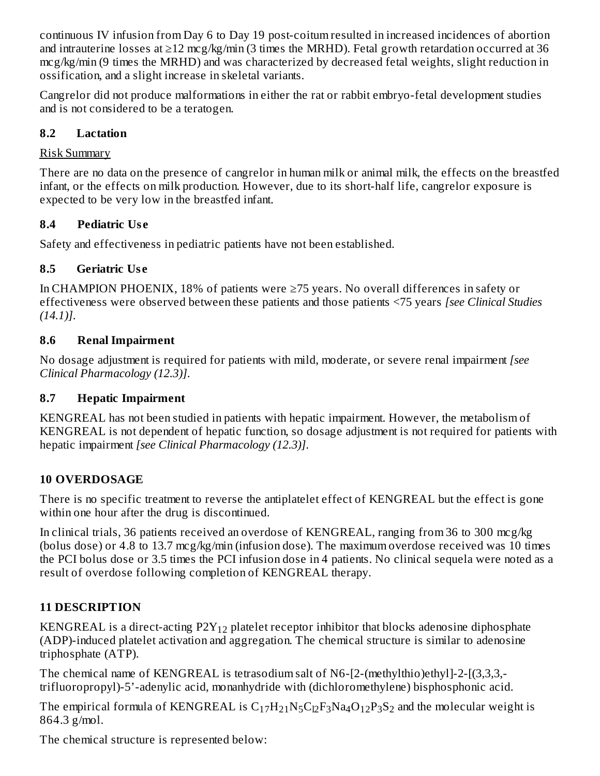continuous IV infusion from Day 6 to Day 19 post-coitum resulted in increased incidences of abortion and intrauterine losses at ≥12 mcg/kg/min (3 times the MRHD). Fetal growth retardation occurred at 36 mcg/kg/min (9 times the MRHD) and was characterized by decreased fetal weights, slight reduction in ossification, and a slight increase in skeletal variants.

Cangrelor did not produce malformations in either the rat or rabbit embryo-fetal development studies and is not considered to be a teratogen.

## **8.2 Lactation**

# Risk Summary

There are no data on the presence of cangrelor in human milk or animal milk, the effects on the breastfed infant, or the effects on milk production. However, due to its short-half life, cangrelor exposure is expected to be very low in the breastfed infant.

# **8.4 Pediatric Us e**

Safety and effectiveness in pediatric patients have not been established.

# **8.5 Geriatric Us e**

In CHAMPION PHOENIX, 18% of patients were ≥75 years. No overall differences in safety or effectiveness were observed between these patients and those patients <75 years *[see Clinical Studies (14.1)]*.

# **8.6 Renal Impairment**

No dosage adjustment is required for patients with mild, moderate, or severe renal impairment *[see Clinical Pharmacology (12.3)]*.

## **8.7 Hepatic Impairment**

KENGREAL has not been studied in patients with hepatic impairment. However, the metabolism of KENGREAL is not dependent of hepatic function, so dosage adjustment is not required for patients with hepatic impairment *[see Clinical Pharmacology (12.3)]*.

# **10 OVERDOSAGE**

There is no specific treatment to reverse the antiplatelet effect of KENGREAL but the effect is gone within one hour after the drug is discontinued.

In clinical trials, 36 patients received an overdose of KENGREAL, ranging from 36 to 300 mcg/kg (bolus dose) or 4.8 to 13.7 mcg/kg/min (infusion dose). The maximum overdose received was 10 times the PCI bolus dose or 3.5 times the PCI infusion dose in 4 patients. No clinical sequela were noted as a result of overdose following completion of KENGREAL therapy.

# **11 DESCRIPTION**

KENGREAL is a direct-acting  $P2Y_{12}$  platelet receptor inhibitor that blocks adenosine diphosphate (ADP)-induced platelet activation and aggregation. The chemical structure is similar to adenosine triphosphate (ATP).

The chemical name of KENGREAL is tetrasodium salt of N6-[2-(methylthio)ethyl]-2-[(3,3,3, trifluoropropyl)-5'-adenylic acid, monanhydride with (dichloromethylene) bisphosphonic acid.

The empirical formula of KENGREAL is  $\rm C_{17}H_{21}N_5C_{l2}F_3Na_4O_{12}P_3S_2$  and the molecular weight is 864.3 g/mol.

The chemical structure is represented below: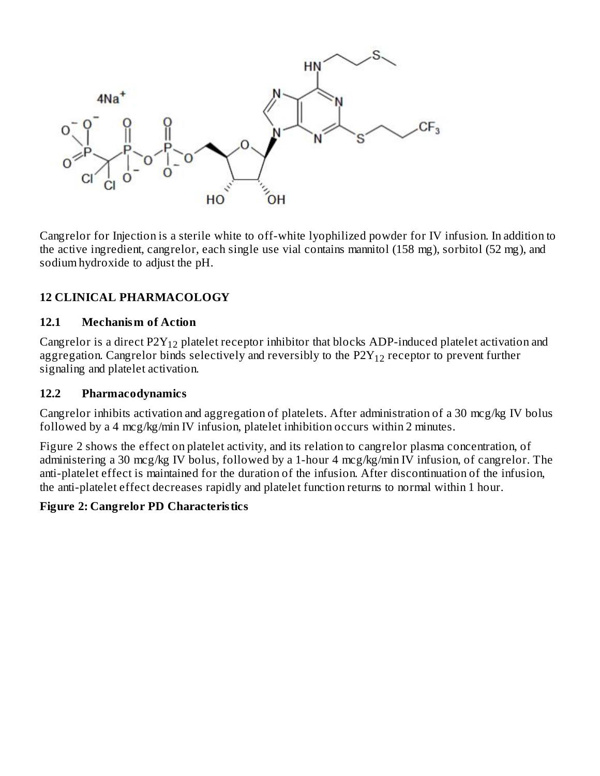

Cangrelor for Injection is a sterile white to off-white lyophilized powder for IV infusion. In addition to the active ingredient, cangrelor, each single use vial contains mannitol (158 mg), sorbitol (52 mg), and sodium hydroxide to adjust the pH.

## **12 CLINICAL PHARMACOLOGY**

#### **12.1 Mechanism of Action**

Cangrelor is a direct P2 $Y_{12}$  platelet receptor inhibitor that blocks ADP-induced platelet activation and aggregation. Cangrelor binds selectively and reversibly to the P2 ${\rm Y}_{12}$  receptor to prevent further signaling and platelet activation.

#### **12.2 Pharmacodynamics**

Cangrelor inhibits activation and aggregation of platelets. After administration of a 30 mcg/kg IV bolus followed by a 4 mcg/kg/min IV infusion, platelet inhibition occurs within 2 minutes.

Figure 2 shows the effect on platelet activity, and its relation to cangrelor plasma concentration, of administering a 30 mcg/kg IV bolus, followed by a 1-hour 4 mcg/kg/min IV infusion, of cangrelor. The anti-platelet effect is maintained for the duration of the infusion. After discontinuation of the infusion, the anti-platelet effect decreases rapidly and platelet function returns to normal within 1 hour.

#### **Figure 2: Cangrelor PD Characteristics**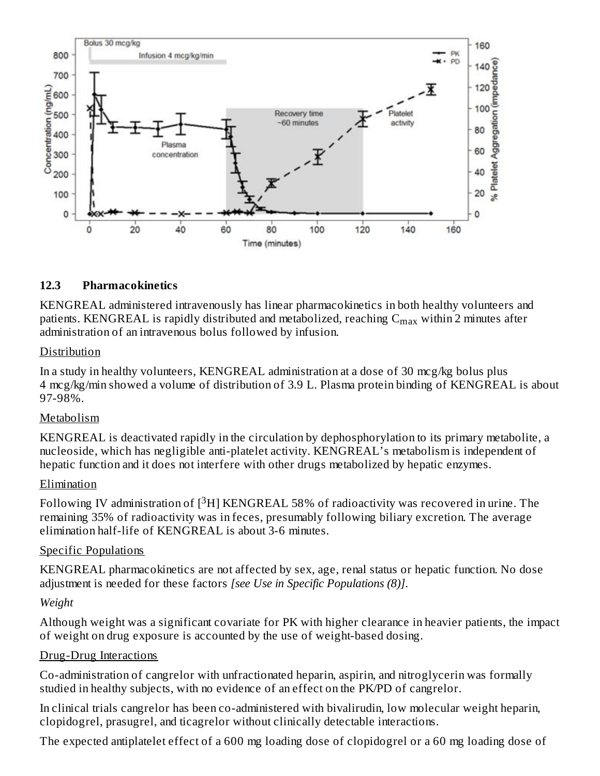

#### **12.3 Pharmacokinetics**

KENGREAL administered intravenously has linear pharmacokinetics in both healthy volunteers and patients. KENGREAL is rapidly distributed and metabolized, reaching  $\mathsf{C}_{\max}$  within 2 minutes after administration of an intravenous bolus followed by infusion.

#### Distribution

In a study in healthy volunteers, KENGREAL administration at a dose of 30 mcg/kg bolus plus 4 mcg/kg/min showed a volume of distribution of 3.9 L. Plasma protein binding of KENGREAL is about 97-98%.

#### Metabolism

KENGREAL is deactivated rapidly in the circulation by dephosphorylation to its primary metabolite, a nucleoside, which has negligible anti-platelet activity. KENGREAL's metabolism is independent of hepatic function and it does not interfere with other drugs metabolized by hepatic enzymes.

#### Elimination

Following IV administration of  $[^3\mathrm{H}]$  KENGREAL 58% of radioactivity was recovered in urine. The remaining 35% of radioactivity was in feces, presumably following biliary excretion. The average elimination half-life of KENGREAL is about 3-6 minutes.

#### Specific Populations

KENGREAL pharmacokinetics are not affected by sex, age, renal status or hepatic function. No dose adjustment is needed for these factors *[see Use in Specific Populations (8)]*.

#### *Weight*

Although weight was a significant covariate for PK with higher clearance in heavier patients, the impact of weight on drug exposure is accounted by the use of weight-based dosing.

#### Drug-Drug Interactions

Co-administration of cangrelor with unfractionated heparin, aspirin, and nitroglycerin was formally studied in healthy subjects, with no evidence of an effect on the PK/PD of cangrelor.

In clinical trials cangrelor has been co-administered with bivalirudin, low molecular weight heparin, clopidogrel, prasugrel, and ticagrelor without clinically detectable interactions.

The expected antiplatelet effect of a 600 mg loading dose of clopidogrel or a 60 mg loading dose of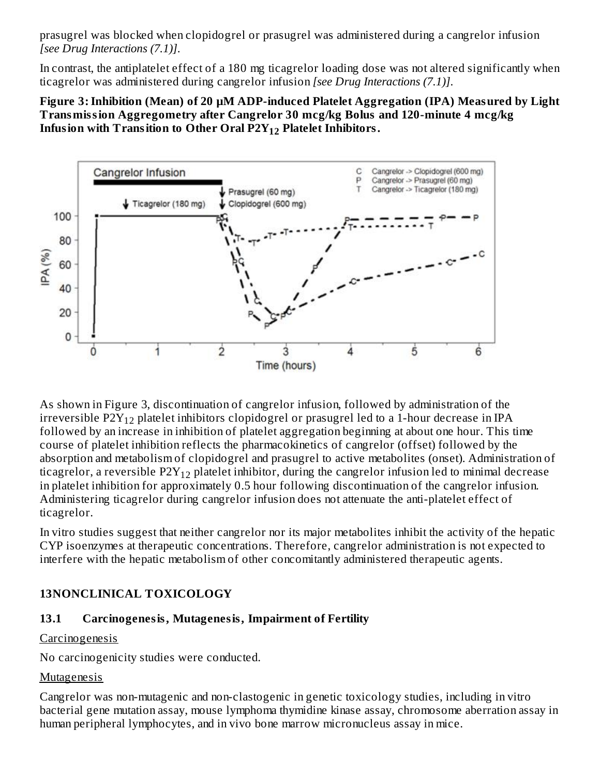prasugrel was blocked when clopidogrel or prasugrel was administered during a cangrelor infusion *[see Drug Interactions (7.1)]*.

In contrast, the antiplatelet effect of a 180 mg ticagrelor loading dose was not altered significantly when ticagrelor was administered during cangrelor infusion *[see Drug Interactions (7.1)]*.

#### **Figure 3:Inhibition (Mean) of 20 µM ADP-induced Platelet Aggregation (IPA) Measured by Light Transmission Aggregometry after Cangrelor 30 mcg/kg Bolus and 120-minute 4 mcg/kg Infusion with Transition to Other Oral P2Y Platelet Inhibitors. 12**



As shown in Figure 3, discontinuation of cangrelor infusion, followed by administration of the irreversible P2 ${\rm Y_{12}}$  platelet inhibitors clopidogrel or prasugrel led to a 1-hour decrease in IPA followed by an increase in inhibition of platelet aggregation beginning at about one hour. This time course of platelet inhibition reflects the pharmacokinetics of cangrelor (offset) followed by the absorption and metabolism of clopidogrel and prasugrel to active metabolites (onset). Administration of ticagrelor, a reversible P2 ${\rm Y_{12}}$  platelet inhibitor, during the cangrelor infusion led to minimal decrease in platelet inhibition for approximately 0.5 hour following discontinuation of the cangrelor infusion. Administering ticagrelor during cangrelor infusion does not attenuate the anti-platelet effect of ticagrelor.

In vitro studies suggest that neither cangrelor nor its major metabolites inhibit the activity of the hepatic CYP isoenzymes at therapeutic concentrations. Therefore, cangrelor administration is not expected to interfere with the hepatic metabolism of other concomitantly administered therapeutic agents.

## **13NONCLINICAL TOXICOLOGY**

## **13.1 Carcinogenesis, Mutagenesis, Impairment of Fertility**

#### Carcinogenesis

No carcinogenicity studies were conducted.

## Mutagenesis

Cangrelor was non-mutagenic and non-clastogenic in genetic toxicology studies, including in vitro bacterial gene mutation assay, mouse lymphoma thymidine kinase assay, chromosome aberration assay in human peripheral lymphocytes, and in vivo bone marrow micronucleus assay in mice.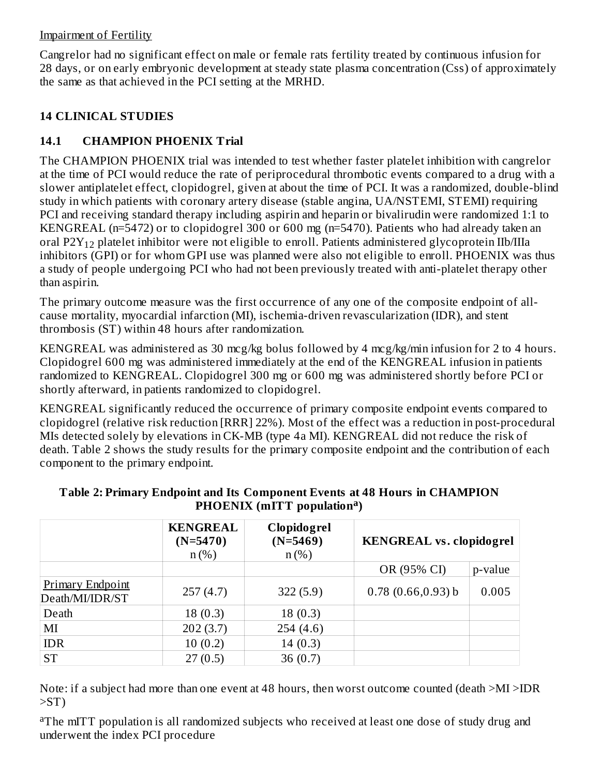#### Impairment of Fertility

Cangrelor had no significant effect on male or female rats fertility treated by continuous infusion for 28 days, or on early embryonic development at steady state plasma concentration (Css) of approximately the same as that achieved in the PCI setting at the MRHD.

# **14 CLINICAL STUDIES**

**b** and the state of the state of the state of the state of the state of the state of the state of the state of

# **14.1 CHAMPION PHOENIX Trial**

The CHAMPION PHOENIX trial was intended to test whether faster platelet inhibition with cangrelor at the time of PCI would reduce the rate of periprocedural thrombotic events compared to a drug with a slower antiplatelet effect, clopidogrel, given at about the time of PCI. It was a randomized, double-blind study in which patients with coronary artery disease (stable angina, UA/NSTEMI, STEMI) requiring PCI and receiving standard therapy including aspirin and heparin or bivalirudin were randomized 1:1 to KENGREAL (n=5472) or to clopidogrel 300 or 600 mg (n=5470). Patients who had already taken an oral P2 ${\rm Y_{12}}$  platelet inhibitor were not eligible to enroll. Patients administered glycoprotein IIb/IIIa inhibitors (GPI) or for whom GPI use was planned were also not eligible to enroll. PHOENIX was thus a study of people undergoing PCI who had not been previously treated with anti-platelet therapy other than aspirin.

The primary outcome measure was the first occurrence of any one of the composite endpoint of allcause mortality, myocardial infarction (MI), ischemia-driven revascularization (IDR), and stent thrombosis (ST) within 48 hours after randomization.

KENGREAL was administered as 30 mcg/kg bolus followed by 4 mcg/kg/min infusion for 2 to 4 hours. Clopidogrel 600 mg was administered immediately at the end of the KENGREAL infusion in patients randomized to KENGREAL. Clopidogrel 300 mg or 600 mg was administered shortly before PCI or shortly afterward, in patients randomized to clopidogrel.

KENGREAL significantly reduced the occurrence of primary composite endpoint events compared to clopidogrel (relative risk reduction [RRR] 22%). Most of the effect was a reduction in post-procedural MIs detected solely by elevations in CK-MB (type 4a MI). KENGREAL did not reduce the risk of death. Table 2 shows the study results for the primary composite endpoint and the contribution of each component to the primary endpoint.

|                                            | <b>KENGREAL</b><br>$(N=5470)$<br>$n$ (%) | Clopidogrel<br>$(N=5469)$<br>$n$ (%) | <b>KENGREAL vs. clopidogrel</b> |         |
|--------------------------------------------|------------------------------------------|--------------------------------------|---------------------------------|---------|
|                                            |                                          |                                      | OR (95% CI)                     | p-value |
| <b>Primary Endpoint</b><br>Death/MI/IDR/ST | 257(4.7)                                 | 322(5.9)                             | 0.78(0.66, 0.93)b               | 0.005   |
| Death                                      | 18(0.3)                                  | 18(0.3)                              |                                 |         |
| MI                                         | 202(3.7)                                 | 254(4.6)                             |                                 |         |
| <b>IDR</b>                                 | 10(0.2)                                  | 14(0.3)                              |                                 |         |
| <b>ST</b>                                  | 27(0.5)                                  | 36 $(0.7)$                           |                                 |         |

#### **Table 2: Primary Endpoint and Its Component Events at 48 Hours in CHAMPION PHOENIX (mITT population ) a**

Note: if a subject had more than one event at 48 hours, then worst outcome counted (death >MI >IDR  $>ST$ )

<sup>a</sup>The mITT population is all randomized subjects who received at least one dose of study drug and underwent the index PCI procedure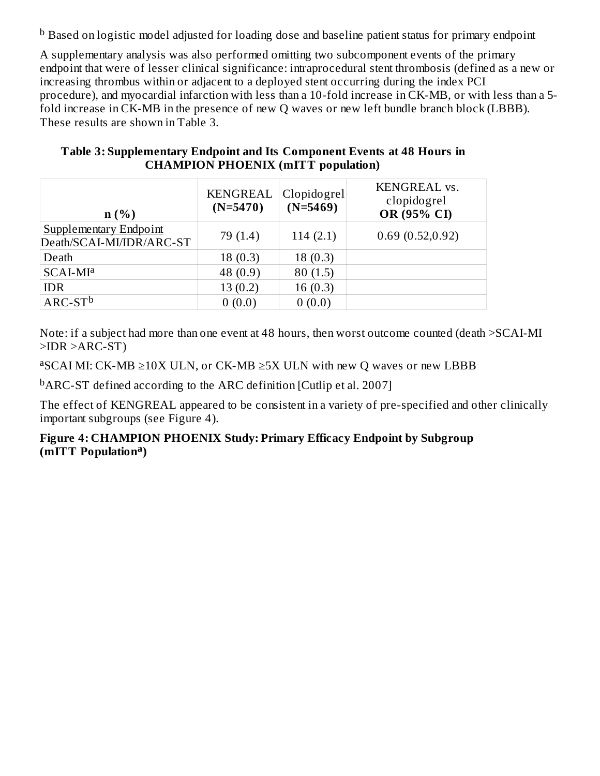$^{\rm b}$  Based on logistic model adjusted for loading dose and baseline patient status for primary endpoint

A supplementary analysis was also performed omitting two subcomponent events of the primary endpoint that were of lesser clinical significance: intraprocedural stent thrombosis (defined as a new or increasing thrombus within or adjacent to a deployed stent occurring during the index PCI procedure), and myocardial infarction with less than a 10-fold increase in CK-MB, or with less than a 5 fold increase in CK-MB in the presence of new Q waves or new left bundle branch block (LBBB). These results are shown in Table 3.

| $n(\%)$                                            | <b>KENGREAL</b><br>$(N=5470)$ | Clopidogrel<br>$(N=5469)$ | KENGREAL vs.<br>clopidogrel<br>OR (95% CI) |
|----------------------------------------------------|-------------------------------|---------------------------|--------------------------------------------|
| Supplementary Endpoint<br>Death/SCAI-MI/IDR/ARC-ST | 79 (1.4)                      | 114(2.1)                  | 0.69(0.52,0.92)                            |
| Death                                              | 18(0.3)                       | 18(0.3)                   |                                            |
| SCAI-MI <sup>a</sup>                               | 48 (0.9)                      | 80(1.5)                   |                                            |
| <b>IDR</b>                                         | 13(0.2)                       | 16(0.3)                   |                                            |
| $ARC-STb$                                          | 0(0.0)                        | 0(0.0)                    |                                            |

#### **Table 3: Supplementary Endpoint and Its Component Events at 48 Hours in CHAMPION PHOENIX (mITT population)**

Note: if a subject had more than one event at 48 hours, then worst outcome counted (death >SCAI-MI >IDR >ARC-ST)

 ${}^{a}$ SCAI MI: CK-MB  $\geq$ 10X ULN, or CK-MB  $\geq$ 5X ULN with new Q waves or new LBBB

<sup>b</sup>ARC-ST defined according to the ARC definition [Cutlip et al. 2007]

The effect of KENGREAL appeared to be consistent in a variety of pre-specified and other clinically important subgroups (see Figure 4).

#### **Figure 4: CHAMPION PHOENIX Study: Primary Efficacy Endpoint by Subgroup (mITT Population ) a**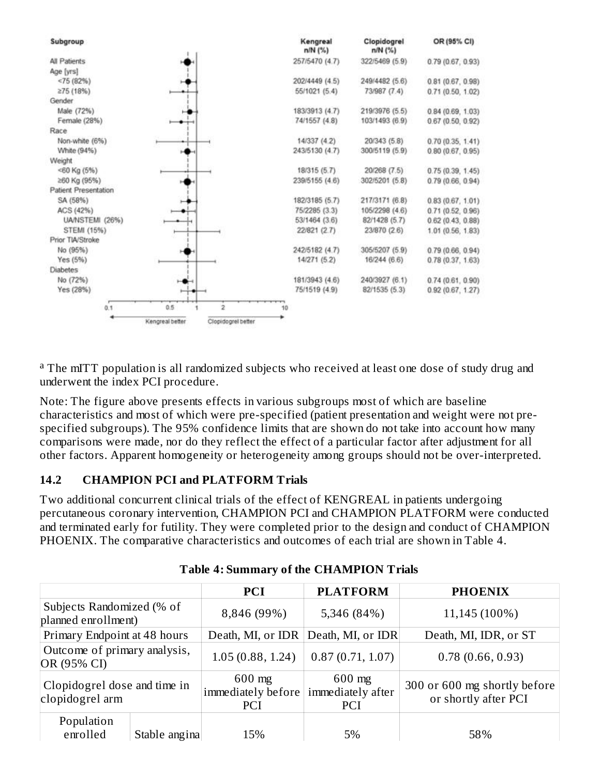

<sup>a</sup> The mITT population is all randomized subjects who received at least one dose of study drug and underwent the index PCI procedure.

Note: The figure above presents effects in various subgroups most of which are baseline characteristics and most of which were pre-specified (patient presentation and weight were not prespecified subgroups). The 95% confidence limits that are shown do not take into account how many comparisons were made, nor do they reflect the effect of a particular factor after adjustment for all other factors. Apparent homogeneity or heterogeneity among groups should not be over-interpreted.

## **14.2 CHAMPION PCI and PLATFORM Trials**

Two additional concurrent clinical trials of the effect of KENGREAL in patients undergoing percutaneous coronary intervention, CHAMPION PCI and CHAMPION PLATFORM were conducted and terminated early for futility. They were completed prior to the design and conduct of CHAMPION PHOENIX. The comparative characteristics and outcomes of each trial are shown in Table 4.

|                                                  |               | <b>PCI</b>                                   | <b>PLATFORM</b>                             | <b>PHOENIX</b>                                       |
|--------------------------------------------------|---------------|----------------------------------------------|---------------------------------------------|------------------------------------------------------|
| Subjects Randomized (% of<br>planned enrollment) |               | 8,846 (99%)                                  | 5,346 (84%)                                 | 11,145 (100%)                                        |
| Primary Endpoint at 48 hours                     |               | Death, MI, or IDR                            | Death, MI, or IDR                           | Death, MI, IDR, or ST                                |
| Outcome of primary analysis,<br>OR (95% CI)      |               | 1.05(0.88, 1.24)                             | 0.87(0.71, 1.07)                            | 0.78(0.66, 0.93)                                     |
| Clopidogrel dose and time in<br>clopidogrel arm  |               | $600$ mg<br>immediately before<br><b>PCI</b> | $600$ mg<br>immediately after<br><b>PCI</b> | 300 or 600 mg shortly before<br>or shortly after PCI |
| Population<br>enrolled                           | Stable angina | 15%                                          | 5%                                          | 58%                                                  |

|  | <b>Table 4: Summary of the CHAMPION Trials</b> |
|--|------------------------------------------------|
|--|------------------------------------------------|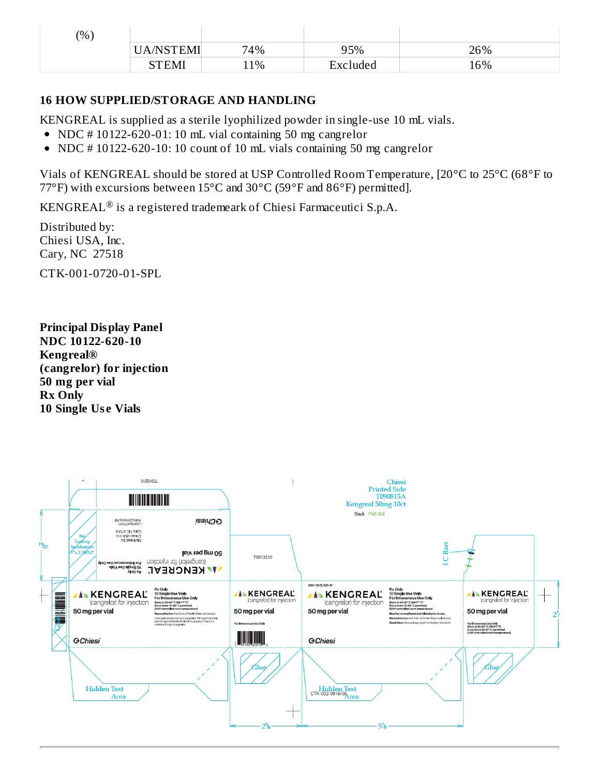| (% ) |           |     |               |     |
|------|-----------|-----|---------------|-----|
|      | UA/NSTEMI | 74% | 95%           | 26% |
|      | STEMI     | 11% | —<br>Excluded | 16% |

#### **16 HOW SUPPLIED/STORAGE AND HANDLING**

KENGREAL is supplied as a sterile lyophilized powder in single-use 10 mL vials.

- NDC # 10122-620-01: 10 mL vial containing 50 mg cangrelor
- NDC # 10122-620-10: 10 count of 10 mL vials containing 50 mg cangrelor  $\bullet$

Vials of KENGREAL should be stored at USP Controlled Room Temperature, [20°C to 25°C (68°F to 77°F) with excursions between 15°C and 30°C (59°F and 86°F) permitted].

KENGREAL $^\circledR$  is a registered trademeark of Chiesi Farmaceutici S.p.A.

Distributed by: Chiesi USA, Inc. Cary, NC 27518

CTK-001-0720-01-SPL

**Principal Display Panel NDC 10122-620-10 Kengreal® (cangrelor) for injection 50 mg per vial Rx Only 10 Single Us e Vials**